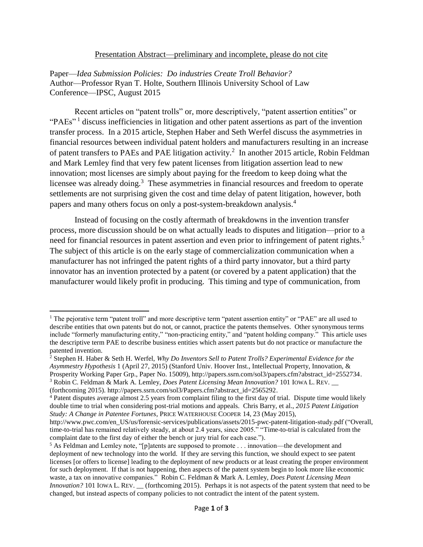## Presentation Abstract—preliminary and incomplete, please do not cite

Paper—*Idea Submission Policies: Do industries Create Troll Behavior?* Author—Professor Ryan T. Holte, Southern Illinois University School of Law Conference—IPSC, August 2015

Recent articles on "patent trolls" or, more descriptively, "patent assertion entities" or "PAEs"<sup>1</sup> discuss inefficiencies in litigation and other patent assertions as part of the invention transfer process. In a 2015 article, Stephen Haber and Seth Werfel discuss the asymmetries in financial resources between individual patent holders and manufacturers resulting in an increase of patent transfers to PAEs and PAE litigation activity.<sup>2</sup> In another 2015 article, Robin Feldman and Mark Lemley find that very few patent licenses from litigation assertion lead to new innovation; most licenses are simply about paying for the freedom to keep doing what the licensee was already doing.<sup>3</sup> These asymmetries in financial resources and freedom to operate settlements are not surprising given the cost and time delay of patent litigation, however, both papers and many others focus on only a post-system-breakdown analysis.<sup>4</sup>

Instead of focusing on the costly aftermath of breakdowns in the invention transfer process, more discussion should be on what actually leads to disputes and litigation—prior to a need for financial resources in patent assertion and even prior to infringement of patent rights.<sup>5</sup> The subject of this article is on the early stage of commercialization communication when a manufacturer has not infringed the patent rights of a third party innovator, but a third party innovator has an invention protected by a patent (or covered by a patent application) that the manufacturer would likely profit in producing. This timing and type of communication, from

 $\overline{\phantom{a}}$ 

<sup>&</sup>lt;sup>1</sup> The pejorative term "patent troll" and more descriptive term "patent assertion entity" or "PAE" are all used to describe entities that own patents but do not, or cannot, practice the patents themselves. Other synonymous terms include "formerly manufacturing entity," "non-practicing entity," and "patent holding company." This article uses the descriptive term PAE to describe business entities which assert patents but do not practice or manufacture the patented invention.

<sup>2</sup> Stephen H. Haber & Seth H. Werfel, *Why Do Inventors Sell to Patent Trolls? Experimental Evidence for the Asymmestry Hypothesis* 1 (April 27, 2015) (Stanford Univ. Hoover Inst., Intellectual Property, Innovation, & Prosperity Working Paper Grp., Paper No. 15009), http://papers.ssrn.com/sol3/papers.cfm?abstract\_id=2552734. <sup>3</sup> Robin C. Feldman & Mark A. Lemley, *Does Patent Licensing Mean Innovation?* 101 IOWA L. REV. \_\_

<sup>(</sup>forthcoming 2015). http://papers.ssrn.com/sol3/Papers.cfm?abstract\_id=2565292.

<sup>4</sup> Patent disputes average almost 2.5 years from complaint filing to the first day of trial. Dispute time would likely double time to trial when considering post-trial motions and appeals. Chris Barry, et al., *2015 Patent Litigation Study: A Change in Patentee Fortunes*, PRICE WATERHOUSE COOPER 14, 23 (May 2015),

http://www.pwc.com/en\_US/us/forensic-services/publications/assets/2015-pwc-patent-litigation-study.pdf ("Overall, time-to-trial has remained relatively steady, at about 2.4 years, since 2005." "Time-to-trial is calculated from the complaint date to the first day of either the bench or jury trial for each case.").

<sup>&</sup>lt;sup>5</sup> As Feldman and Lemley note, "[p]atents are supposed to promote . . . innovation—the development and deployment of new technology into the world. If they are serving this function, we should expect to see patent licenses [or offers to license] leading to the deployment of new products or at least creating the proper environment for such deployment. If that is not happening, then aspects of the patent system begin to look more like economic waste, a tax on innovative companies." Robin C. Feldman & Mark A. Lemley, *Does Patent Licensing Mean Innovation?* 101 IOWA L. REV. \_\_ (forthcoming 2015). Perhaps it is not aspects of the patent system that need to be changed, but instead aspects of company policies to not contradict the intent of the patent system.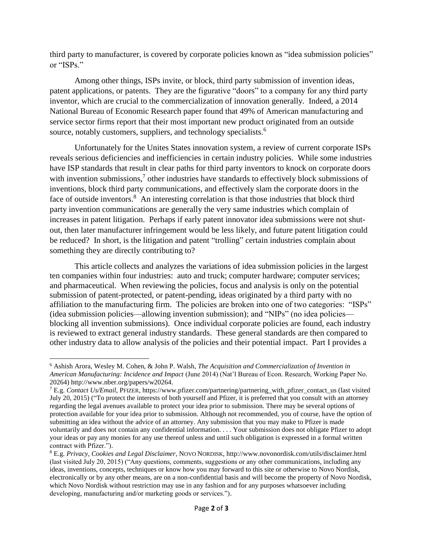third party to manufacturer, is covered by corporate policies known as "idea submission policies" or "ISPs"

Among other things, ISPs invite, or block, third party submission of invention ideas, patent applications, or patents. They are the figurative "doors" to a company for any third party inventor, which are crucial to the commercialization of innovation generally. Indeed, a 2014 National Bureau of Economic Research paper found that 49% of American manufacturing and service sector firms report that their most important new product originated from an outside source, notably customers, suppliers, and technology specialists.<sup>6</sup>

Unfortunately for the Unites States innovation system, a review of current corporate ISPs reveals serious deficiencies and inefficiencies in certain industry policies. While some industries have ISP standards that result in clear paths for third party inventors to knock on corporate doors with invention submissions, $7$  other industries have standards to effectively block submissions of inventions, block third party communications, and effectively slam the corporate doors in the face of outside inventors.<sup>8</sup> An interesting correlation is that those industries that block third party invention communications are generally the very same industries which complain of increases in patent litigation. Perhaps if early patent innovator idea submissions were not shutout, then later manufacturer infringement would be less likely, and future patent litigation could be reduced? In short, is the litigation and patent "trolling" certain industries complain about something they are directly contributing to?

This article collects and analyzes the variations of idea submission policies in the largest ten companies within four industries: auto and truck; computer hardware; computer services; and pharmaceutical. When reviewing the policies, focus and analysis is only on the potential submission of patent-protected, or patent-pending, ideas originated by a third party with no affiliation to the manufacturing firm. The policies are broken into one of two categories: "ISPs" (idea submission policies—allowing invention submission); and "NIPs" (no idea policies blocking all invention submissions). Once individual corporate policies are found, each industry is reviewed to extract general industry standards. These general standards are then compared to other industry data to allow analysis of the policies and their potential impact. Part I provides a

l

<sup>6</sup> Ashish Arora, Wesley M. Cohen, & John P. Walsh, *The Acquisition and Commercialization of Invention in American Manufacturing: Incidence and Impact* (June 2014) (Nat'l Bureau of Econ. Research, Working Paper No. 20264) http://www.nber.org/papers/w20264.

<sup>7</sup> E.g. *Contact Us/Email*, PFIZER, https://www.pfizer.com/partnering/partnering\_with\_pfizer\_contact\_us (last visited July 20, 2015) ("To protect the interests of both yourself and Pfizer, it is preferred that you consult with an attorney regarding the legal avenues available to protect your idea prior to submission. There may be several options of protection available for your idea prior to submission. Although not recommended, you of course, have the option of submitting an idea without the advice of an attorney. Any submission that you may make to Pfizer is made voluntarily and does not contain any confidential information. . . . Your submission does not obligate Pfizer to adopt your ideas or pay any monies for any use thereof unless and until such obligation is expressed in a formal written contract with Pfizer.").

<sup>8</sup> E.g. *Privacy, Cookies and Legal Disclaimer*, NOVO NORDISK, http://www.novonordisk.com/utils/disclaimer.html (last visited July 20, 2015) ("Any questions, comments, suggestions or any other communications, including any ideas, inventions, concepts, techniques or know how you may forward to this site or otherwise to Novo Nordisk, electronically or by any other means, are on a non-confidential basis and will become the property of Novo Nordisk, which Novo Nordisk without restriction may use in any fashion and for any purposes whatsoever including developing, manufacturing and/or marketing goods or services.").